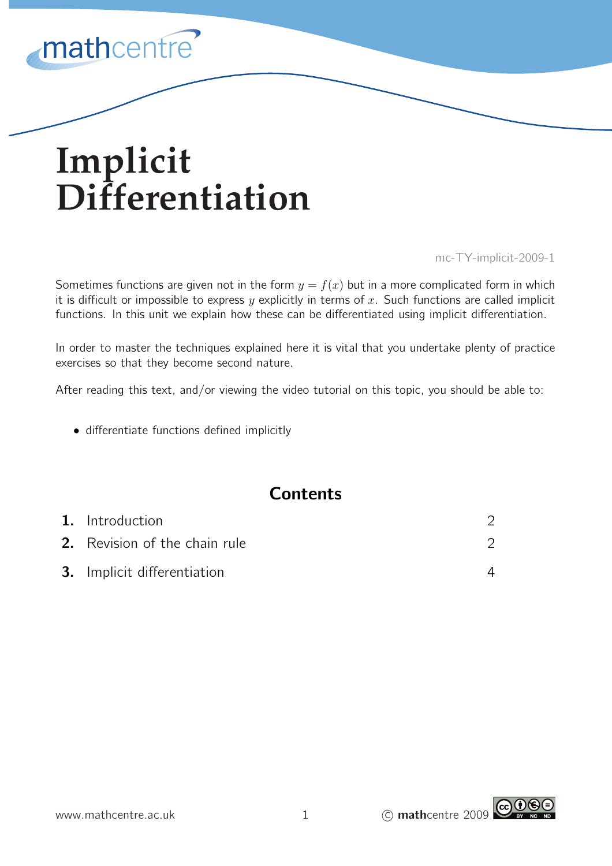

# **Implicit Differentiation**

mc-TY-implicit-2009-1

Sometimes functions are given not in the form  $y = f(x)$  but in a more complicated form in which it is difficult or impossible to express  $y$  explicitly in terms of  $x$ . Such functions are called implicit functions. In this unit we explain how these can be differentiated using implicit differentiation.

In order to master the techniques explained here it is vital that you undertake plenty of practice exercises so that they become second nature.

After reading this text, and/or viewing the video tutorial on this topic, you should be able to:

• differentiate functions defined implicitly

# **Contents**

| 1. Introduction                      |  |
|--------------------------------------|--|
| <b>2.</b> Revision of the chain rule |  |
| <b>3.</b> Implicit differentiation   |  |

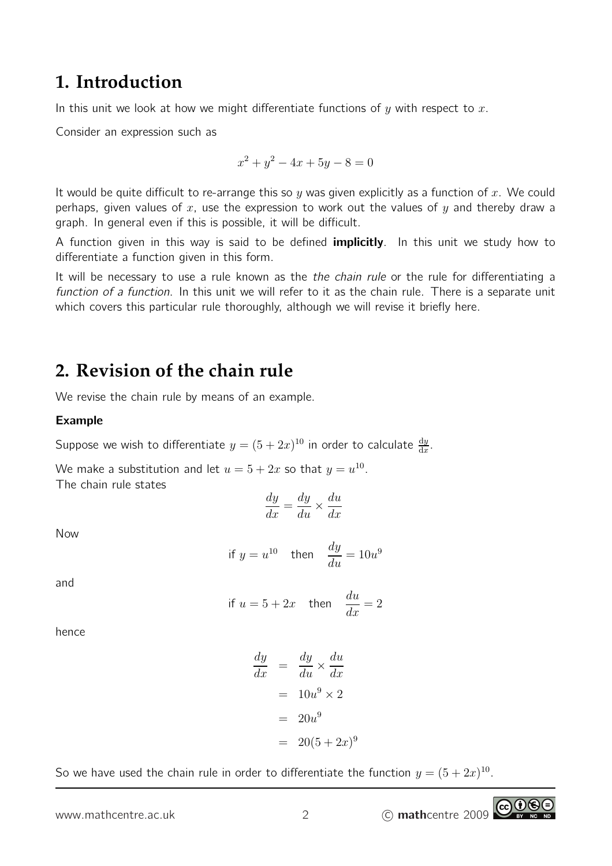# **1. Introduction**

In this unit we look at how we might differentiate functions of  $y$  with respect to  $x$ .

Consider an expression such as

$$
x^2 + y^2 - 4x + 5y - 8 = 0
$$

It would be quite difficult to re-arrange this so y was given explicitly as a function of x. We could perhaps, given values of  $x$ , use the expression to work out the values of  $y$  and thereby draw a graph. In general even if this is possible, it will be difficult.

A function given in this way is said to be defined **implicitly**. In this unit we study how to differentiate a function given in this form.

It will be necessary to use a rule known as the the chain rule or the rule for differentiating a function of a function. In this unit we will refer to it as the chain rule. There is a separate unit which covers this particular rule thoroughly, although we will revise it briefly here.

# **2. Revision of the chain rule**

We revise the chain rule by means of an example.

## Example

Suppose we wish to differentiate  $y=(5+2x)^{10}$  in order to calculate  $\frac{dy}{dx}$ .

We make a substitution and let  $u = 5 + 2x$  so that  $y = u^{10}$ . The chain rule states

$$
\frac{dy}{dx} = \frac{dy}{du} \times \frac{du}{dx}
$$

Now

$$
\text{if } y = u^{10} \quad \text{then} \quad \frac{dy}{du} = 10u^9
$$

and

if 
$$
u = 5 + 2x
$$
 then  $\frac{du}{dx} = 2$ 

hence

$$
\frac{dy}{dx} = \frac{dy}{du} \times \frac{du}{dx}
$$

$$
= 10u^9 \times 2
$$

$$
= 20u^9
$$

$$
= 20(5+2x)^9
$$

So we have used the chain rule in order to differentiate the function  $y = (5 + 2x)^{10}$ .

www.mathcentre.ac.uk 2 C mathcentre 2009

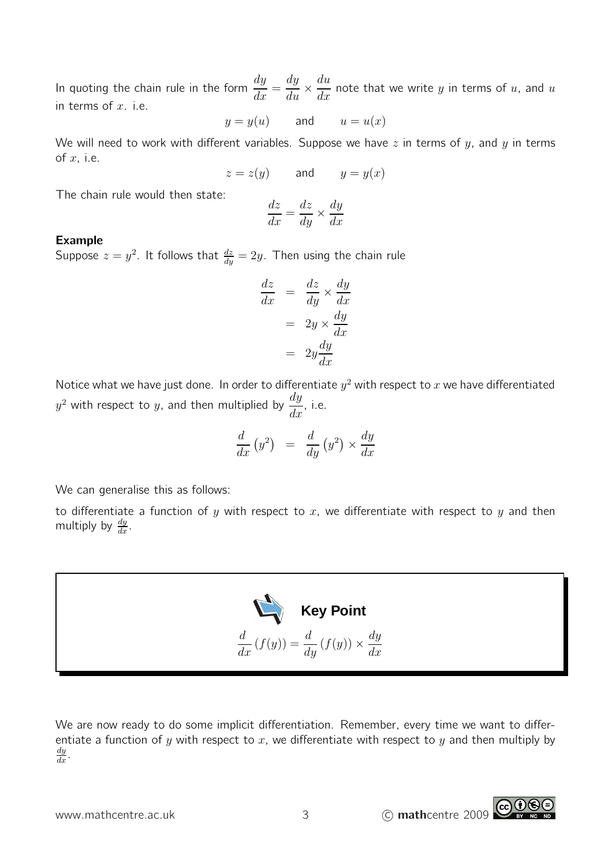In quoting the chain rule in the form  $\frac{dy}{dx}$  $\frac{dy}{dx} =$  $\frac{dy}{du} \times \frac{du}{dx}$  $\frac{du}{dx}$  note that we write y in terms of u, and u in terms of  $x$ . i.e.

$$
y = y(u) \qquad \text{and} \qquad u = u(x)
$$

We will need to work with different variables. Suppose we have  $z$  in terms of  $y$ , and  $y$  in terms of  $x$ , i.e.

$$
z = z(y) \qquad \text{and} \qquad y = y(x)
$$

The chain rule would then state:

$$
\frac{dz}{dx} = \frac{dz}{dy} \times \frac{dy}{dx}
$$

## Example

Suppose  $z=y^2$ . It follows that  $\frac{dz}{dy}=2y$ . Then using the chain rule

$$
\frac{dz}{dx} = \frac{dz}{dy} \times \frac{dy}{dx}
$$

$$
= 2y \times \frac{dy}{dx}
$$

$$
= 2y\frac{dy}{dx}
$$

Notice what we have just done. In order to differentiate  $y^2$  with respect to  $\bar{x}$  we have differentiated  $y^2$  with respect to  $y$ , and then multiplied by  $\frac{dy}{dx}$  $\frac{dy}{dx}$ , i.e.

$$
\frac{d}{dx}\left(y^2\right) = \frac{d}{dy}\left(y^2\right) \times \frac{dy}{dx}
$$

We can generalise this as follows:

to differentiate a function of y with respect to x, we differentiate with respect to y and then multiply by  $\frac{dy}{dx}$ .



We are now ready to do some implicit differentiation. Remember, every time we want to differentiate a function of y with respect to x, we differentiate with respect to y and then multiply by  $\frac{dy}{dx}$ .

www.mathcentre.ac.uk  $\frac{3}{3}$  © mathcentre 2009

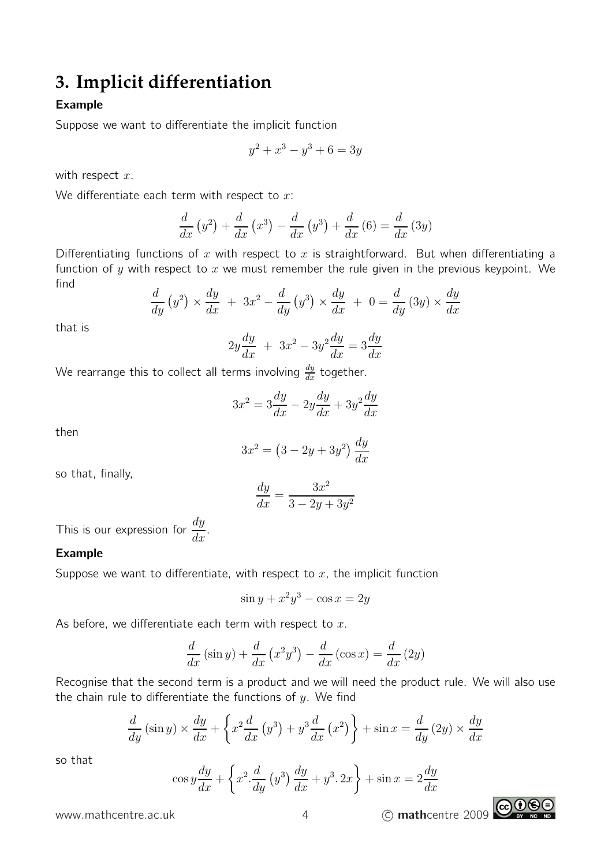# **3. Implicit differentiation**

# Example

Suppose we want to differentiate the implicit function

$$
y^2 + x^3 - y^3 + 6 = 3y
$$

with respect  $x$ .

We differentiate each term with respect to  $x$ :

$$
\frac{d}{dx}\left(y^2\right) + \frac{d}{dx}\left(x^3\right) - \frac{d}{dx}\left(y^3\right) + \frac{d}{dx}\left(6\right) = \frac{d}{dx}\left(3y\right)
$$

Differentiating functions of x with respect to x is straightforward. But when differentiating a function of y with respect to x we must remember the rule given in the previous keypoint. We find

$$
\frac{d}{dy}\left(y^2\right) \times \frac{dy}{dx} + 3x^2 - \frac{d}{dy}\left(y^3\right) \times \frac{dy}{dx} + 0 = \frac{d}{dy}\left(3y\right) \times \frac{dy}{dx}
$$

that is

$$
2y\frac{dy}{dx} + 3x^2 - 3y^2\frac{dy}{dx} = 3\frac{dy}{dx}
$$

We rearrange this to collect all terms involving  $\frac{dy}{dx}$  together.

$$
3x^2 = 3\frac{dy}{dx} - 2y\frac{dy}{dx} + 3y^2\frac{dy}{dx}
$$

then

$$
3x^2 = \left(3 - 2y + 3y^2\right)\frac{dy}{dx}
$$

so that, finally,

$$
\frac{dy}{dx} = \frac{3x^2}{3 - 2y + 3y^2}
$$

This is our expression for  $\frac{dy}{dx}$  $\frac{dy}{dx}$ .

### Example

Suppose we want to differentiate, with respect to  $x$ , the implicit function

$$
\sin y + x^2 y^3 - \cos x = 2y
$$

As before, we differentiate each term with respect to  $x$ .

$$
\frac{d}{dx}\left(\sin y\right) + \frac{d}{dx}\left(x^2y^3\right) - \frac{d}{dx}\left(\cos x\right) = \frac{d}{dx}\left(2y\right)
$$

Recognise that the second term is a product and we will need the product rule. We will also use the chain rule to differentiate the functions of  $y$ . We find

$$
\frac{d}{dy}\left(\sin y\right) \times \frac{dy}{dx} + \left\{x^2 \frac{d}{dx}\left(y^3\right) + y^3 \frac{d}{dx}\left(x^2\right)\right\} + \sin x = \frac{d}{dy}\left(2y\right) \times \frac{dy}{dx}
$$

so that

$$
\cos y \frac{dy}{dx} + \left\{ x^2 \frac{d}{dy} \left( y^3 \right) \frac{dy}{dx} + y^3 \cdot 2x \right\} + \sin x = 2 \frac{dy}{dx}
$$

www.mathcentre.ac.uk 14 C mathcentre 2009

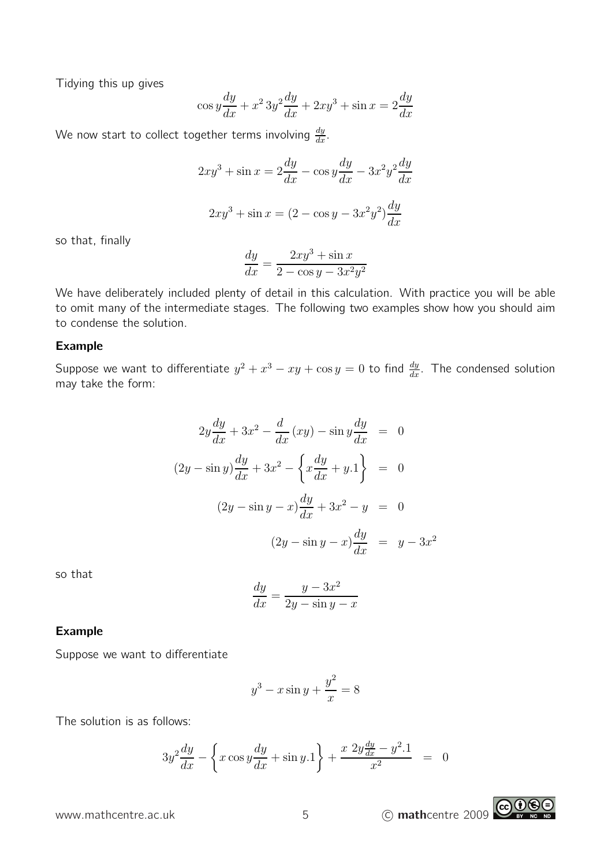Tidying this up gives

$$
\cos y \frac{dy}{dx} + x^2 3y^2 \frac{dy}{dx} + 2xy^3 + \sin x = 2\frac{dy}{dx}
$$

We now start to collect together terms involving  $\frac{dy}{dx}$ .

$$
2xy3 + \sin x = 2\frac{dy}{dx} - \cos y\frac{dy}{dx} - 3x2y2\frac{dy}{dx}
$$

$$
2xy3 + \sin x = (2 - \cos y - 3x2y2)\frac{dy}{dx}
$$

so that, finally

$$
\frac{dy}{dx} = \frac{2xy^3 + \sin x}{2 - \cos y - 3x^2y^2}
$$

We have deliberately included plenty of detail in this calculation. With practice you will be able to omit many of the intermediate stages. The following two examples show how you should aim to condense the solution.

### Example

Suppose we want to differentiate  $y^2+x^3-xy+\cos y=0$  to find  $\frac{dy}{dx}$ . The condensed solution may take the form:

$$
2y\frac{dy}{dx} + 3x^2 - \frac{d}{dx}(xy) - \sin y\frac{dy}{dx} = 0
$$
  

$$
(2y - \sin y)\frac{dy}{dx} + 3x^2 - \left\{x\frac{dy}{dx} + y.1\right\} = 0
$$
  

$$
(2y - \sin y - x)\frac{dy}{dx} + 3x^2 - y = 0
$$
  

$$
(2y - \sin y - x)\frac{dy}{dx} = y - 3x^2
$$

so that

$$
\frac{dy}{dx} = \frac{y - 3x^2}{2y - \sin y - x}
$$

#### Example

Suppose we want to differentiate

$$
y^3 - x\sin y + \frac{y^2}{x} = 8
$$

The solution is as follows:

$$
3y^{2}\frac{dy}{dx} - \left\{x\cos y \frac{dy}{dx} + \sin y \cdot 1\right\} + \frac{x \ 2y \frac{dy}{dx} - y^{2} \cdot 1}{x^{2}} = 0
$$